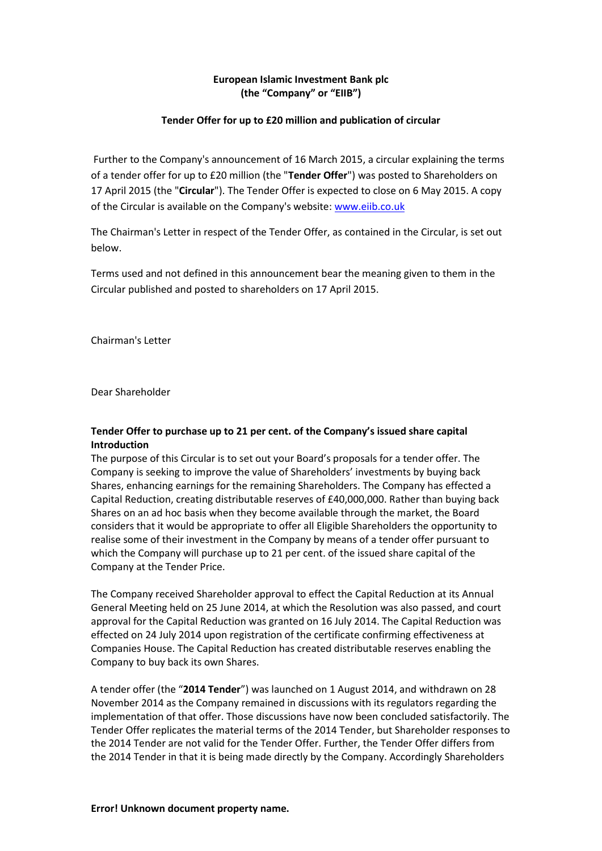# **European Islamic Investment Bank plc (the "Company" or "EIIB")**

### **Tender Offer for up to £20 million and publication of circular**

Further to the Company's announcement of 16 March 2015, a circular explaining the terms of a tender offer for up to £20 million (the "**Tender Offer**") was posted to Shareholders on 17 April 2015 (the "**Circular**"). The Tender Offer is expected to close on 6 May 2015. A copy of the Circular is available on the Company's website[: www.eiib.co.uk](http://www.eiib.co.uk/)

The Chairman's Letter in respect of the Tender Offer, as contained in the Circular, is set out below.

Terms used and not defined in this announcement bear the meaning given to them in the Circular published and posted to shareholders on 17 April 2015.

Chairman's Letter

Dear Shareholder

# **Tender Offer to purchase up to 21 per cent. of the Company's issued share capital Introduction**

The purpose of this Circular is to set out your Board's proposals for a tender offer. The Company is seeking to improve the value of Shareholders' investments by buying back Shares, enhancing earnings for the remaining Shareholders. The Company has effected a Capital Reduction, creating distributable reserves of £40,000,000. Rather than buying back Shares on an ad hoc basis when they become available through the market, the Board considers that it would be appropriate to offer all Eligible Shareholders the opportunity to realise some of their investment in the Company by means of a tender offer pursuant to which the Company will purchase up to 21 per cent. of the issued share capital of the Company at the Tender Price.

The Company received Shareholder approval to effect the Capital Reduction at its Annual General Meeting held on 25 June 2014, at which the Resolution was also passed, and court approval for the Capital Reduction was granted on 16 July 2014. The Capital Reduction was effected on 24 July 2014 upon registration of the certificate confirming effectiveness at Companies House. The Capital Reduction has created distributable reserves enabling the Company to buy back its own Shares.

A tender offer (the "**2014 Tender**") was launched on 1 August 2014, and withdrawn on 28 November 2014 as the Company remained in discussions with its regulators regarding the implementation of that offer. Those discussions have now been concluded satisfactorily. The Tender Offer replicates the material terms of the 2014 Tender, but Shareholder responses to the 2014 Tender are not valid for the Tender Offer. Further, the Tender Offer differs from the 2014 Tender in that it is being made directly by the Company. Accordingly Shareholders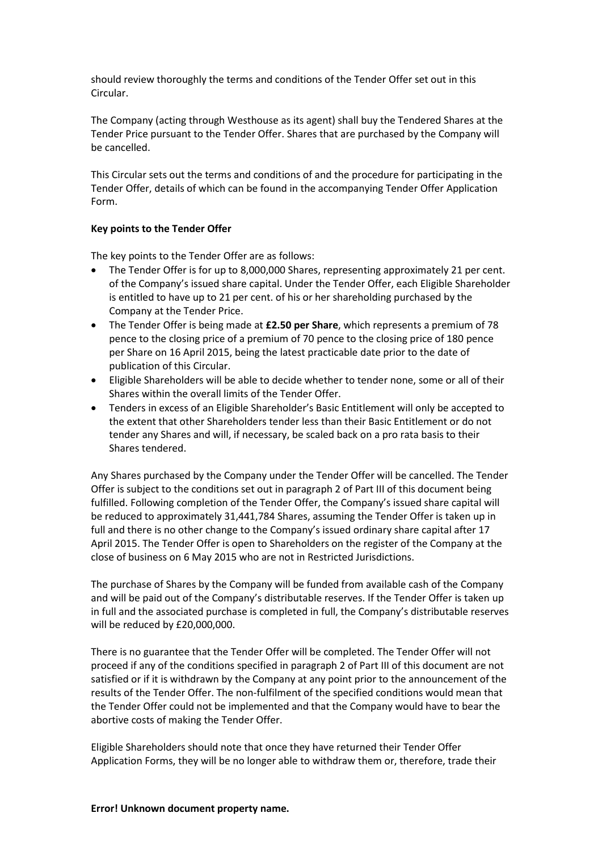should review thoroughly the terms and conditions of the Tender Offer set out in this Circular.

The Company (acting through Westhouse as its agent) shall buy the Tendered Shares at the Tender Price pursuant to the Tender Offer. Shares that are purchased by the Company will be cancelled.

This Circular sets out the terms and conditions of and the procedure for participating in the Tender Offer, details of which can be found in the accompanying Tender Offer Application Form.

# **Key points to the Tender Offer**

The key points to the Tender Offer are as follows:

- The Tender Offer is for up to 8,000,000 Shares, representing approximately 21 per cent. of the Company's issued share capital. Under the Tender Offer, each Eligible Shareholder is entitled to have up to 21 per cent. of his or her shareholding purchased by the Company at the Tender Price.
- The Tender Offer is being made at **£2.50 per Share**, which represents a premium of 78 pence to the closing price of a premium of 70 pence to the closing price of 180 pence per Share on 16 April 2015, being the latest practicable date prior to the date of publication of this Circular.
- Eligible Shareholders will be able to decide whether to tender none, some or all of their Shares within the overall limits of the Tender Offer.
- Tenders in excess of an Eligible Shareholder's Basic Entitlement will only be accepted to the extent that other Shareholders tender less than their Basic Entitlement or do not tender any Shares and will, if necessary, be scaled back on a pro rata basis to their Shares tendered.

Any Shares purchased by the Company under the Tender Offer will be cancelled. The Tender Offer is subject to the conditions set out in paragraph 2 of Part III of this document being fulfilled. Following completion of the Tender Offer, the Company's issued share capital will be reduced to approximately 31,441,784 Shares, assuming the Tender Offer is taken up in full and there is no other change to the Company's issued ordinary share capital after 17 April 2015. The Tender Offer is open to Shareholders on the register of the Company at the close of business on 6 May 2015 who are not in Restricted Jurisdictions.

The purchase of Shares by the Company will be funded from available cash of the Company and will be paid out of the Company's distributable reserves. If the Tender Offer is taken up in full and the associated purchase is completed in full, the Company's distributable reserves will be reduced by £20,000,000.

There is no guarantee that the Tender Offer will be completed. The Tender Offer will not proceed if any of the conditions specified in paragraph 2 of Part III of this document are not satisfied or if it is withdrawn by the Company at any point prior to the announcement of the results of the Tender Offer. The non-fulfilment of the specified conditions would mean that the Tender Offer could not be implemented and that the Company would have to bear the abortive costs of making the Tender Offer.

Eligible Shareholders should note that once they have returned their Tender Offer Application Forms, they will be no longer able to withdraw them or, therefore, trade their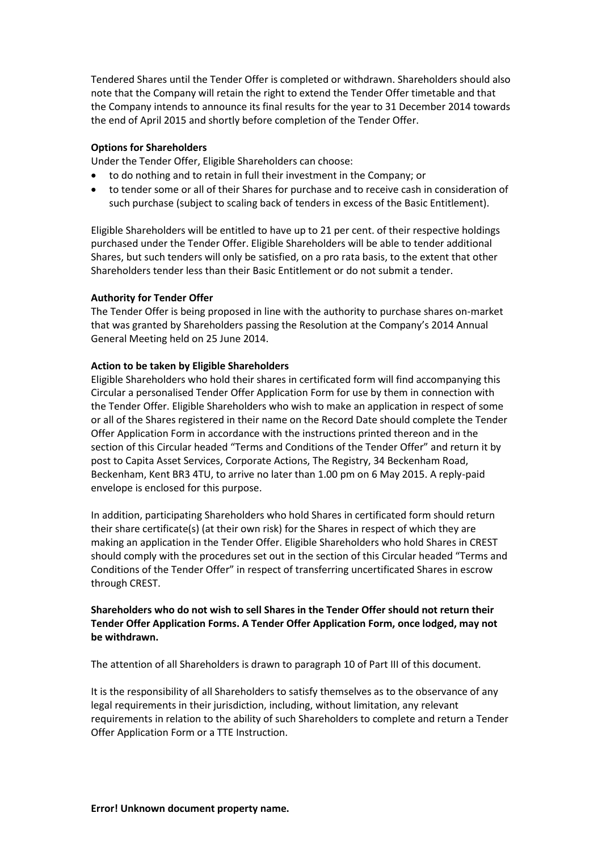Tendered Shares until the Tender Offer is completed or withdrawn. Shareholders should also note that the Company will retain the right to extend the Tender Offer timetable and that the Company intends to announce its final results for the year to 31 December 2014 towards the end of April 2015 and shortly before completion of the Tender Offer.

### **Options for Shareholders**

Under the Tender Offer, Eligible Shareholders can choose:

- to do nothing and to retain in full their investment in the Company; or
- to tender some or all of their Shares for purchase and to receive cash in consideration of such purchase (subject to scaling back of tenders in excess of the Basic Entitlement).

Eligible Shareholders will be entitled to have up to 21 per cent. of their respective holdings purchased under the Tender Offer. Eligible Shareholders will be able to tender additional Shares, but such tenders will only be satisfied, on a pro rata basis, to the extent that other Shareholders tender less than their Basic Entitlement or do not submit a tender.

# **Authority for Tender Offer**

The Tender Offer is being proposed in line with the authority to purchase shares on-market that was granted by Shareholders passing the Resolution at the Company's 2014 Annual General Meeting held on 25 June 2014.

# **Action to be taken by Eligible Shareholders**

Eligible Shareholders who hold their shares in certificated form will find accompanying this Circular a personalised Tender Offer Application Form for use by them in connection with the Tender Offer. Eligible Shareholders who wish to make an application in respect of some or all of the Shares registered in their name on the Record Date should complete the Tender Offer Application Form in accordance with the instructions printed thereon and in the section of this Circular headed "Terms and Conditions of the Tender Offer" and return it by post to Capita Asset Services, Corporate Actions, The Registry, 34 Beckenham Road, Beckenham, Kent BR3 4TU, to arrive no later than 1.00 pm on 6 May 2015. A reply-paid envelope is enclosed for this purpose.

In addition, participating Shareholders who hold Shares in certificated form should return their share certificate(s) (at their own risk) for the Shares in respect of which they are making an application in the Tender Offer. Eligible Shareholders who hold Shares in CREST should comply with the procedures set out in the section of this Circular headed "Terms and Conditions of the Tender Offer" in respect of transferring uncertificated Shares in escrow through CREST.

# **Shareholders who do not wish to sell Shares in the Tender Offer should not return their Tender Offer Application Forms. A Tender Offer Application Form, once lodged, may not be withdrawn.**

The attention of all Shareholders is drawn to paragraph 10 of Part III of this document.

It is the responsibility of all Shareholders to satisfy themselves as to the observance of any legal requirements in their jurisdiction, including, without limitation, any relevant requirements in relation to the ability of such Shareholders to complete and return a Tender Offer Application Form or a TTE Instruction.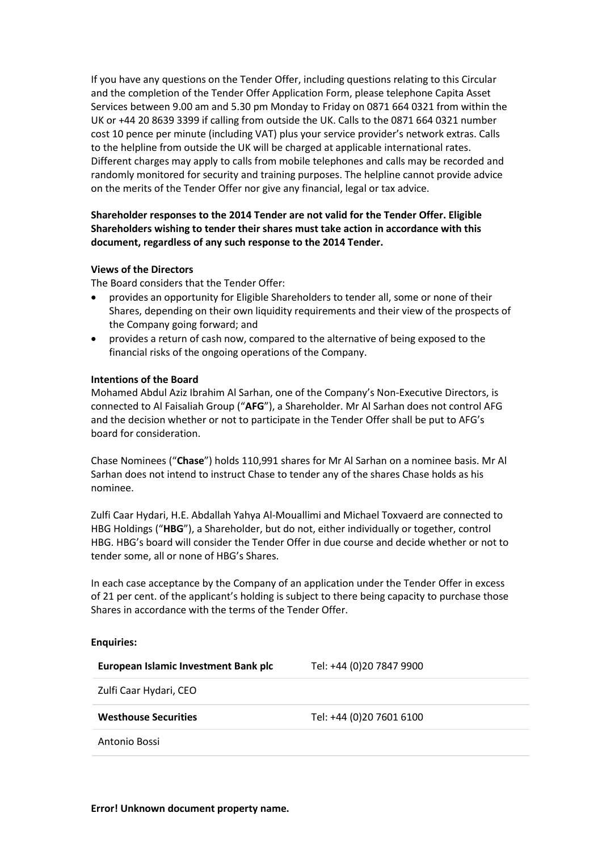If you have any questions on the Tender Offer, including questions relating to this Circular and the completion of the Tender Offer Application Form, please telephone Capita Asset Services between 9.00 am and 5.30 pm Monday to Friday on 0871 664 0321 from within the UK or +44 20 8639 3399 if calling from outside the UK. Calls to the 0871 664 0321 number cost 10 pence per minute (including VAT) plus your service provider's network extras. Calls to the helpline from outside the UK will be charged at applicable international rates. Different charges may apply to calls from mobile telephones and calls may be recorded and randomly monitored for security and training purposes. The helpline cannot provide advice on the merits of the Tender Offer nor give any financial, legal or tax advice.

# **Shareholder responses to the 2014 Tender are not valid for the Tender Offer. Eligible Shareholders wishing to tender their shares must take action in accordance with this document, regardless of any such response to the 2014 Tender.**

#### **Views of the Directors**

The Board considers that the Tender Offer:

- provides an opportunity for Eligible Shareholders to tender all, some or none of their Shares, depending on their own liquidity requirements and their view of the prospects of the Company going forward; and
- provides a return of cash now, compared to the alternative of being exposed to the financial risks of the ongoing operations of the Company.

#### **Intentions of the Board**

Mohamed Abdul Aziz Ibrahim Al Sarhan, one of the Company's Non-Executive Directors, is connected to Al Faisaliah Group ("**AFG**"), a Shareholder. Mr Al Sarhan does not control AFG and the decision whether or not to participate in the Tender Offer shall be put to AFG's board for consideration.

Chase Nominees ("**Chase**") holds 110,991 shares for Mr Al Sarhan on a nominee basis. Mr Al Sarhan does not intend to instruct Chase to tender any of the shares Chase holds as his nominee.

Zulfi Caar Hydari, H.E. Abdallah Yahya Al-Mouallimi and Michael Toxvaerd are connected to HBG Holdings ("**HBG**"), a Shareholder, but do not, either individually or together, control HBG. HBG's board will consider the Tender Offer in due course and decide whether or not to tender some, all or none of HBG's Shares.

In each case acceptance by the Company of an application under the Tender Offer in excess of 21 per cent. of the applicant's holding is subject to there being capacity to purchase those Shares in accordance with the terms of the Tender Offer.

#### **Enquiries:**

**European Islamic Investment Bank plc** Tel: +44 (0)20 7847 9900

Zulfi Caar Hydari, CEO

**Westhouse Securities** Tel: +44 (0)20 7601 6100

Antonio Bossi